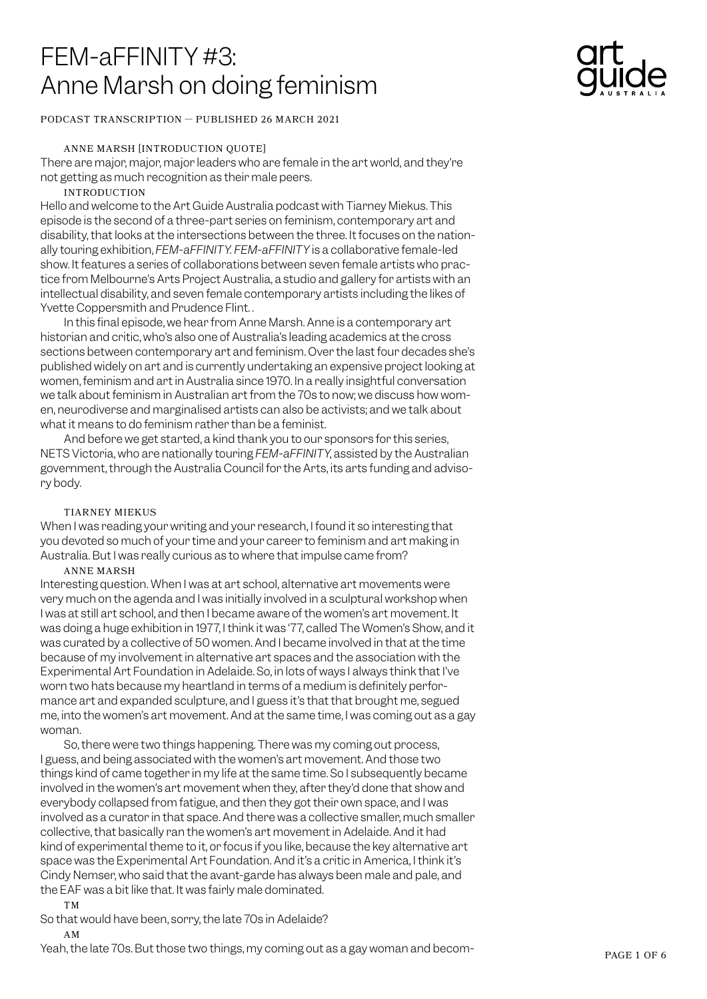# FEM-aFFINITY #3: Anne Marsh on doing feminism

## PODCAST TRANSCRIPTION — PUBLISHED 26 MARCH 2021

## ANNE MARSH [INTRODUCTION QUOTE]

There are major, major, major leaders who are female in the art world, and they're not getting as much recognition as their male peers.

## INTRODUCTION

Hello and welcome to the Art Guide Australia podcast with Tiarney Miekus. This episode is the second of a three-part series on feminism, contemporary art and disability, that looks at the intersections between the three. It focuses on the nationally touring exhibition, *FEM-aFFINITY. FEM-aFFINITY* is a collaborative female-led show. It features a series of collaborations between seven female artists who practice from Melbourne's Arts Project Australia, a studio and gallery for artists with an intellectual disability, and seven female contemporary artists including the likes of Yvette Coppersmith and Prudence Flint..

In this final episode, we hear from Anne Marsh. Anne is a contemporary art historian and critic, who's also one of Australia's leading academics at the cross sections between contemporary art and feminism. Over the last four decades she's published widely on art and is currently undertaking an expensive project looking at women, feminism and art in Australia since 1970. In a really insightful conversation we talk about feminism in Australian art from the 70s to now; we discuss how women, neurodiverse and marginalised artists can also be activists; and we talk about what it means to do feminism rather than be a feminist.

And before we get started, a kind thank you to our sponsors for this series, NETS Victoria, who are nationally touring *FEM-aFFINITY*, assisted by the Australian government, through the Australia Council for the Arts, its arts funding and advisory body.

## TIARNEY MIEKUS

When I was reading your writing and your research, I found it so interesting that you devoted so much of your time and your career to feminism and art making in Australia. But I was really curious as to where that impulse came from?

## ANNE MARSH

Interesting question. When I was at art school, alternative art movements were very much on the agenda and I was initially involved in a sculptural workshop when I was at still art school, and then I became aware of the women's art movement. It was doing a huge exhibition in 1977, I think it was '77, called The Women's Show, and it was curated by a collective of 50 women. And I became involved in that at the time because of my involvement in alternative art spaces and the association with the Experimental Art Foundation in Adelaide. So, in lots of ways I always think that I've worn two hats because my heartland in terms of a medium is definitely performance art and expanded sculpture, and I guess it's that that brought me, segued me, into the women's art movement. And at the same time, I was coming out as a gay woman.

So, there were two things happening. There was my coming out process, I guess, and being associated with the women's art movement. And those two things kind of came together in my life at the same time. So I subsequently became involved in the women's art movement when they, after they'd done that show and everybody collapsed from fatigue, and then they got their own space, and I was involved as a curator in that space. And there was a collective smaller, much smaller collective, that basically ran the women's art movement in Adelaide. And it had kind of experimental theme to it, or focus if you like, because the key alternative art space was the Experimental Art Foundation. And it's a critic in America, I think it's Cindy Nemser, who said that the avant-garde has always been male and pale, and the EAF was a bit like that. It was fairly male dominated.

## TM

So that would have been, sorry, the late 70s in Adelaide? AM

Yeah, the late 70s. But those two things, my coming out as a gay woman and becom- PAGE 1 OF 6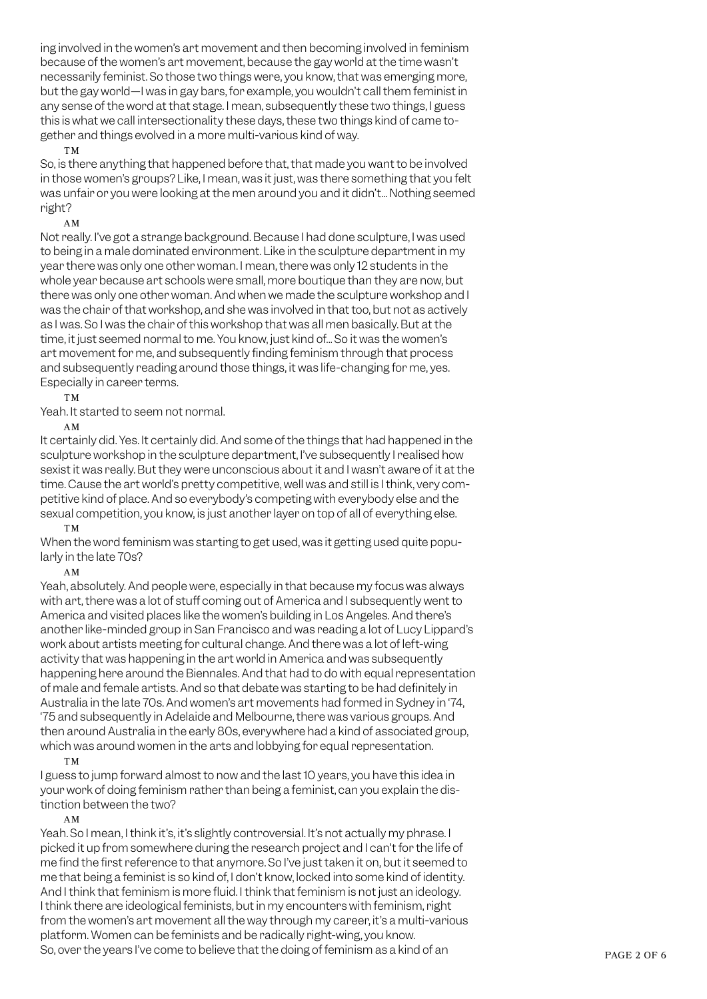ing involved in the women's art movement and then becoming involved in feminism because of the women's art movement, because the gay world at the time wasn't necessarily feminist. So those two things were, you know, that was emerging more, but the gay world—I was in gay bars, for example, you wouldn't call them feminist in any sense of the word at that stage. I mean, subsequently these two things, I guess this is what we call intersectionality these days, these two things kind of came together and things evolved in a more multi-various kind of way.

#### TM

So, is there anything that happened before that, that made you want to be involved in those women's groups? Like, I mean, was it just, was there something that you felt was unfair or you were looking at the men around you and it didn't... Nothing seemed right?

#### AM

Not really. I've got a strange background. Because I had done sculpture, I was used to being in a male dominated environment. Like in the sculpture department in my year there was only one other woman. I mean, there was only 12 students in the whole year because art schools were small, more boutique than they are now, but there was only one other woman. And when we made the sculpture workshop and I was the chair of that workshop, and she was involved in that too, but not as actively as I was. So I was the chair of this workshop that was all men basically. But at the time, it just seemed normal to me. You know, just kind of... So it was the women's art movement for me, and subsequently finding feminism through that process and subsequently reading around those things, it was life-changing for me, yes. Especially in career terms.

TM

Yeah. It started to seem not normal.

AM

It certainly did. Yes. It certainly did. And some of the things that had happened in the sculpture workshop in the sculpture department, I've subsequently I realised how sexist it was really. But they were unconscious about it and I wasn't aware of it at the time. Cause the art world's pretty competitive, well was and still is I think, very competitive kind of place. And so everybody's competing with everybody else and the sexual competition, you know, is just another layer on top of all of everything else. TM

When the word feminism was starting to get used, was it getting used quite popularly in the late 70s?

AM

Yeah, absolutely. And people were, especially in that because my focus was always with art, there was a lot of stuff coming out of America and I subsequently went to America and visited places like the women's building in Los Angeles. And there's another like-minded group in San Francisco and was reading a lot of Lucy Lippard's work about artists meeting for cultural change. And there was a lot of left-wing activity that was happening in the art world in America and was subsequently happening here around the Biennales. And that had to do with equal representation of male and female artists. And so that debate was starting to be had definitely in Australia in the late 70s. And women's art movements had formed in Sydney in '74, '75 and subsequently in Adelaide and Melbourne, there was various groups. And then around Australia in the early 80s, everywhere had a kind of associated group, which was around women in the arts and lobbying for equal representation. TM

I guess to jump forward almost to now and the last 10 years, you have this idea in your work of doing feminism rather than being a feminist, can you explain the distinction between the two?

AM

Yeah. So I mean, I think it's, it's slightly controversial. It's not actually my phrase. I picked it up from somewhere during the research project and I can't for the life of me find the first reference to that anymore. So I've just taken it on, but it seemed to me that being a feminist is so kind of, I don't know, locked into some kind of identity. And I think that feminism is more fluid. I think that feminism is not just an ideology. I think there are ideological feminists, but in my encounters with feminism, right from the women's art movement all the way through my career, it's a multi-various platform. Women can be feminists and be radically right-wing, you know. So, over the years I've come to believe that the doing of feminism as a kind of an PAGE 2 OF 6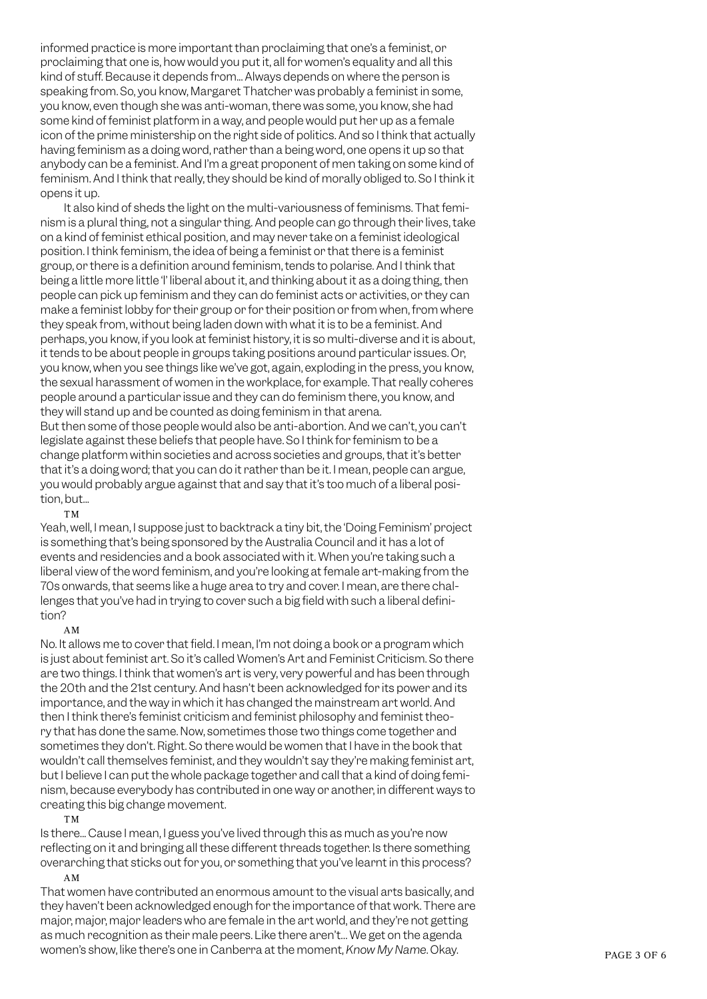informed practice is more important than proclaiming that one's a feminist, or proclaiming that one is, how would you put it, all for women's equality and all this kind of stuff. Because it depends from... Always depends on where the person is speaking from. So, you know, Margaret Thatcher was probably a feminist in some, you know, even though she was anti-woman, there was some, you know, she had some kind of feminist platform in a way, and people would put her up as a female icon of the prime ministership on the right side of politics. And so I think that actually having feminism as a doing word, rather than a being word, one opens it up so that anybody can be a feminist. And I'm a great proponent of men taking on some kind of feminism. And I think that really, they should be kind of morally obliged to. So I think it opens it up.

It also kind of sheds the light on the multi-variousness of feminisms. That feminism is a plural thing, not a singular thing. And people can go through their lives, take on a kind of feminist ethical position, and may never take on a feminist ideological position. I think feminism, the idea of being a feminist or that there is a feminist group, or there is a definition around feminism, tends to polarise. And I think that being a little more little 'l' liberal about it, and thinking about it as a doing thing, then people can pick up feminism and they can do feminist acts or activities, or they can make a feminist lobby for their group or for their position or from when, from where they speak from, without being laden down with what it is to be a feminist. And perhaps, you know, if you look at feminist history, it is so multi-diverse and it is about, it tends to be about people in groups taking positions around particular issues. Or, you know, when you see things like we've got, again, exploding in the press, you know, the sexual harassment of women in the workplace, for example. That really coheres people around a particular issue and they can do feminism there, you know, and they will stand up and be counted as doing feminism in that arena. But then some of those people would also be anti-abortion. And we can't, you can't legislate against these beliefs that people have. So I think for feminism to be a change platform within societies and across societies and groups, that it's better that it's a doing word; that you can do it rather than be it. I mean, people can argue,

#### tion, but... TM

Yeah, well, I mean, I suppose just to backtrack a tiny bit, the 'Doing Feminism' project is something that's being sponsored by the Australia Council and it has a lot of events and residencies and a book associated with it. When you're taking such a liberal view of the word feminism, and you're looking at female art-making from the 70s onwards, that seems like a huge area to try and cover. I mean, are there challenges that you've had in trying to cover such a big field with such a liberal definition?

you would probably argue against that and say that it's too much of a liberal posi-

## AM

No. It allows me to cover that field. I mean, I'm not doing a book or a program which is just about feminist art. So it's called Women's Art and Feminist Criticism. So there are two things. I think that women's art is very, very powerful and has been through the 20th and the 21st century. And hasn't been acknowledged for its power and its importance, and the way in which it has changed the mainstream art world. And then I think there's feminist criticism and feminist philosophy and feminist theory that has done the same. Now, sometimes those two things come together and sometimes they don't. Right. So there would be women that I have in the book that wouldn't call themselves feminist, and they wouldn't say they're making feminist art, but I believe I can put the whole package together and call that a kind of doing feminism, because everybody has contributed in one way or another, in different ways to creating this big change movement.

#### TM

Is there... Cause I mean, I guess you've lived through this as much as you're now reflecting on it and bringing all these different threads together. Is there something overarching that sticks out for you, or something that you've learnt in this process? AM

That women have contributed an enormous amount to the visual arts basically, and they haven't been acknowledged enough for the importance of that work. There are major, major, major leaders who are female in the art world, and they're not getting as much recognition as their male peers. Like there aren't… We get on the agenda women's show, like there's one in Canberra at the moment, *Know My Name*. Okay. PAGE 3 OF 6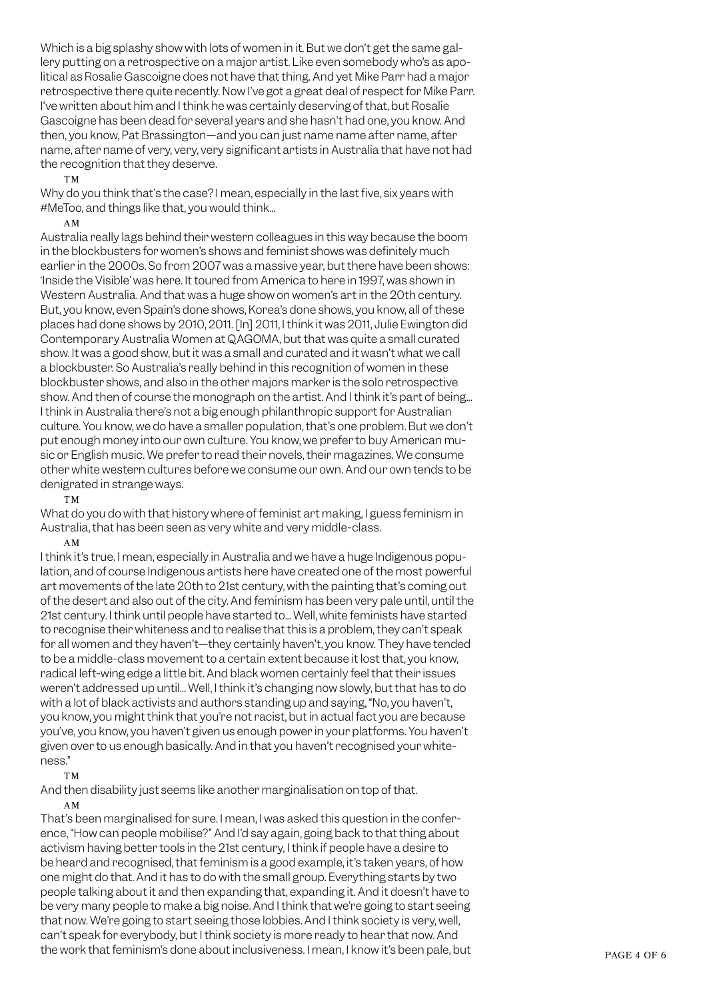Which is a big splashy show with lots of women in it. But we don't get the same gallery putting on a retrospective on a major artist. Like even somebody who's as apolitical as Rosalie Gascoigne does not have that thing. And yet Mike Parr had a major retrospective there quite recently. Now I've got a great deal of respect for Mike Parr. I've written about him and I think he was certainly deserving of that, but Rosalie Gascoigne has been dead for several years and she hasn't had one, you know. And then, you know, Pat Brassington—and you can just name name after name, after name, after name of very, very, very significant artists in Australia that have not had the recognition that they deserve.

#### TM

Why do you think that's the case? I mean, especially in the last five, six years with #MeToo, and things like that, you would think...

## AM

Australia really lags behind their western colleagues in this way because the boom in the blockbusters for women's shows and feminist shows was definitely much earlier in the 2000s. So from 2007 was a massive year, but there have been shows: 'Inside the Visible' was here. It toured from America to here in 1997, was shown in Western Australia. And that was a huge show on women's art in the 20th century. But, you know, even Spain's done shows, Korea's done shows, you know, all of these places had done shows by 2010, 2011. [In] 2011, I think it was 2011, Julie Ewington did Contemporary Australia Women at QAGOMA, but that was quite a small curated show. It was a good show, but it was a small and curated and it wasn't what we call a blockbuster. So Australia's really behind in this recognition of women in these blockbuster shows, and also in the other majors marker is the solo retrospective show. And then of course the monograph on the artist. And I think it's part of being... I think in Australia there's not a big enough philanthropic support for Australian culture. You know, we do have a smaller population, that's one problem. But we don't put enough money into our own culture. You know, we prefer to buy American music or English music. We prefer to read their novels, their magazines. We consume other white western cultures before we consume our own. And our own tends to be denigrated in strange ways.

## TM

What do you do with that history where of feminist art making, I guess feminism in Australia, that has been seen as very white and very middle-class.

## AM

I think it's true. I mean, especially in Australia and we have a huge Indigenous population, and of course Indigenous artists here have created one of the most powerful art movements of the late 20th to 21st century, with the painting that's coming out of the desert and also out of the city. And feminism has been very pale until, until the 21st century. I think until people have started to... Well, white feminists have started to recognise their whiteness and to realise that this is a problem, they can't speak for all women and they haven't—they certainly haven't, you know. They have tended to be a middle-class movement to a certain extent because it lost that, you know, radical left-wing edge a little bit. And black women certainly feel that their issues weren't addressed up until... Well, I think it's changing now slowly, but that has to do with a lot of black activists and authors standing up and saying, "No, you haven't, you know, you might think that you're not racist, but in actual fact you are because you've, you know, you haven't given us enough power in your platforms. You haven't given over to us enough basically. And in that you haven't recognised your whiteness."

## TM

And then disability just seems like another marginalisation on top of that. AM

That's been marginalised for sure. I mean, I was asked this question in the conference, "How can people mobilise?" And I'd say again, going back to that thing about activism having better tools in the 21st century, I think if people have a desire to be heard and recognised, that feminism is a good example, it's taken years, of how one might do that. And it has to do with the small group. Everything starts by two people talking about it and then expanding that, expanding it. And it doesn't have to be very many people to make a big noise. And I think that we're going to start seeing that now. We're going to start seeing those lobbies. And I think society is very, well, can't speak for everybody, but I think society is more ready to hear that now. And the work that feminism's done about inclusiveness. I mean, I know it's been pale, but PAGE 4 OF 6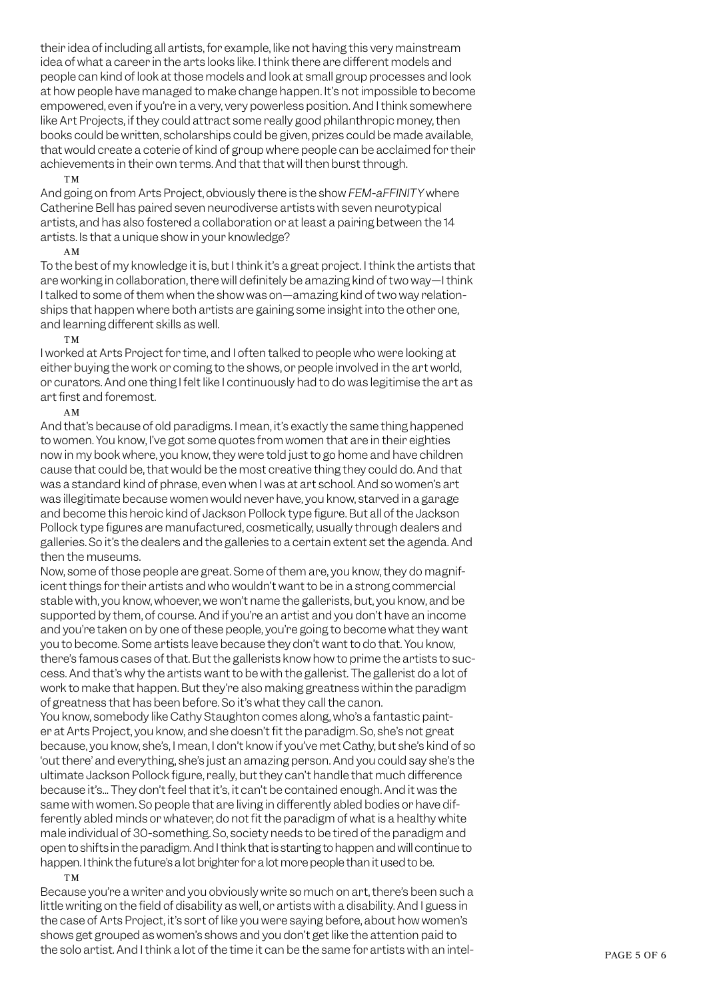their idea of including all artists, for example, like not having this very mainstream idea of what a career in the arts looks like. I think there are different models and people can kind of look at those models and look at small group processes and look at how people have managed to make change happen. It's not impossible to become empowered, even if you're in a very, very powerless position. And I think somewhere like Art Projects, if they could attract some really good philanthropic money, then books could be written, scholarships could be given, prizes could be made available, that would create a coterie of kind of group where people can be acclaimed for their achievements in their own terms. And that that will then burst through.

#### TM

And going on from Arts Project, obviously there is the show *FEM-aFFINITY* where Catherine Bell has paired seven neurodiverse artists with seven neurotypical artists, and has also fostered a collaboration or at least a pairing between the 14 artists. Is that a unique show in your knowledge?

## AM

To the best of my knowledge it is, but I think it's a great project. I think the artists that are working in collaboration, there will definitely be amazing kind of two way—I think I talked to some of them when the show was on—amazing kind of two way relationships that happen where both artists are gaining some insight into the other one, and learning different skills as well.

## TM

I worked at Arts Project for time, and I often talked to people who were looking at either buying the work or coming to the shows, or people involved in the art world, or curators. And one thing I felt like I continuously had to do was legitimise the art as art first and foremost.

## AM

And that's because of old paradigms. I mean, it's exactly the same thing happened to women. You know, I've got some quotes from women that are in their eighties now in my book where, you know, they were told just to go home and have children cause that could be, that would be the most creative thing they could do. And that was a standard kind of phrase, even when I was at art school. And so women's art was illegitimate because women would never have, you know, starved in a garage and become this heroic kind of Jackson Pollock type figure. But all of the Jackson Pollock type figures are manufactured, cosmetically, usually through dealers and galleries. So it's the dealers and the galleries to a certain extent set the agenda. And then the museums.

Now, some of those people are great. Some of them are, you know, they do magnificent things for their artists and who wouldn't want to be in a strong commercial stable with, you know, whoever, we won't name the gallerists, but, you know, and be supported by them, of course. And if you're an artist and you don't have an income and you're taken on by one of these people, you're going to become what they want you to become. Some artists leave because they don't want to do that. You know, there's famous cases of that. But the gallerists know how to prime the artists to success. And that's why the artists want to be with the gallerist. The gallerist do a lot of work to make that happen. But they're also making greatness within the paradigm of greatness that has been before. So it's what they call the canon.

You know, somebody like Cathy Staughton comes along, who's a fantastic painter at Arts Project, you know, and she doesn't fit the paradigm. So, she's not great because, you know, she's, I mean, I don't know if you've met Cathy, but she's kind of so 'out there' and everything, she's just an amazing person. And you could say she's the ultimate Jackson Pollock figure, really, but they can't handle that much difference because it's... They don't feel that it's, it can't be contained enough. And it was the same with women. So people that are living in differently abled bodies or have differently abled minds or whatever, do not fit the paradigm of what is a healthy white male individual of 30-something. So, society needs to be tired of the paradigm and open to shifts in the paradigm. And I think that is starting to happen and will continue to happen. I think the future's a lot brighter for a lot more people than it used to be.

## TM

Because you're a writer and you obviously write so much on art, there's been such a little writing on the field of disability as well, or artists with a disability. And I guess in the case of Arts Project, it's sort of like you were saying before, about how women's shows get grouped as women's shows and you don't get like the attention paid to the solo artist. And I think a lot of the time it can be the same for artists with an intel-<br>PAGE 5 OF 6